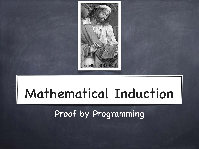

# Mathematical Induction

Proof by Programming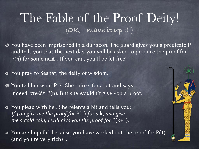#### The Fable of the Proof Deity! (**OK, I made it up :)** )

- You have been imprisoned in a dungeon. The guard gives you a predicate P and tells you that the next day you will be asked to produce the proof for P(n) for some n∈Z**<sup>+</sup>**. If you can, you'll be let free!
- You pray to Seshat, the deity of wisdom.
- You tell her what P is. She thinks for a bit and says, indeed, ∀n∈Z**<sup>+</sup>** P(n). But she wouldn't give you a proof.
- You plead with her. She relents a bit and tells you: If you give me the proof for  $P(k)$  for a k, and give me a gold coin, I will give you the proof for  $P(k+1)$ .
- $\bullet$  You are hopeful, because you have worked out the proof for  $P(1)$ (and you're very rich) …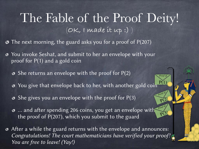#### The Fable of the Proof Deity! (**OK, I made it up :)** )

*Proof of* 

*Proof of* 

*Proof of* 

 $P(1)$ 

 $P(2)$ 

 $P(3)$ 

- The next morning, the guard asks you for a proof of P(207)
- You invoke Seshat, and submit to her an envelope with your proof for P(1) and a gold coin
	- $\bullet$  She returns an envelope with the proof for  $P(2)$
	- You give that envelope back to her, with another gold coin
	- $\bullet$  She gives you an envelope with the proof for P(3)
	- … and after spending 206 coins, you get an envelope with the proof of P(207), which you submit to the guard
- After a while the guard returns with the envelope and announces: Congratulations! The court mathematicians have verified your proof! You are free to leave! (Yay!)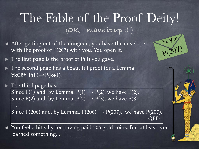#### The Fable of the Proof Deity! (**OK, I made it up :)** )

- **After getting out of the dungeon, you have the envelope** with the proof of P(207) with you. You open it.
- $\triangleright$  The first page is the proof of P(1) you gave.

:

- **Figure 1** The second page has a beautiful proof for a Lemma: ∀k∈Z**<sup>+</sup>** P(k)→P(k+1).
- **Filmenally** The third page has: Since P(1) and, by Lemma, P(1)  $\rightarrow$  P(2), we have P(2). Since P(2) and, by Lemma,  $P(2) \rightarrow P(3)$ , we have P(3).

Since P(206) and, by Lemma,  $P(206) \rightarrow P(207)$ , we have P(207). QED

You feel a bit silly for having paid 206 gold coins. But at least, you  $\bullet$ learned something…

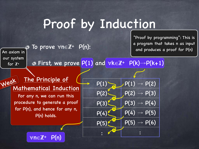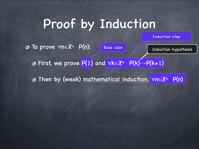Induction step

Base case  $\int$   $\int$  Induction hypothesis To prove ∀n∈Z**<sup>+</sup>** P(n):

First, we prove P(1) and ∀k∈Z**<sup>+</sup>** P(k)→P(k+1)

Then by (weak) mathematical induction, ∀n∈Z**<sup>+</sup>** P(n)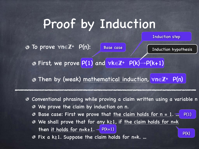To prove ∀n∈Z**<sup>+</sup>** P(n):

Base case  $\int$   $\int$  Induction hypothesis

P(k)

Induction step

First, we prove P(1) and ∀k∈Z**<sup>+</sup>** P(k)→P(k+1)

Then by (weak) mathematical induction, ∀n∈Z**<sup>+</sup>** P(n)

Conventional phrasing while proving a claim written using a variable n Ø We prove the claim by induction on n. Ø

Base case: First we prove that the claim holds for  $n = 1$ . P(1) Ø

We shall prove that for any k≥1, if the claim holds for n=k Ø then it holds for  $n=k+1$ .  $\leq P(k+1)$ 

Fix a k≥1. Suppose the claim holds for n=k. … Ø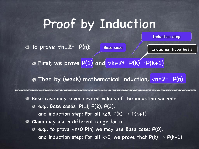To prove ∀n∈Z**<sup>+</sup>** P(n):

Base case  $\int$   $\int$  Induction hypothesis

Induction step

First, we prove P(1) and ∀k∈Z**<sup>+</sup>** P(k)→P(k+1)

Then by (weak) mathematical induction, ∀n∈Z**<sup>+</sup>** P(n)

Base case may cover several values of the induction variable Ø  $e. g.$ , Base cases:  $P(1)$ ,  $P(2)$ ,  $P(3)$ , and induction step: For all k≥3,  $P(k) \rightarrow P(k+1)$ Claim may use a different range for n Ø e.g., to prove ∀n≥0 P(n) we may use Base case: P(0), and induction step: For all k≥0, we prove that  $P(k) \rightarrow P(k+1)$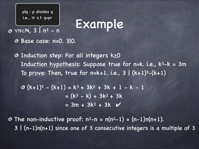plq : p divides q i.e., ∃r s.t. q=pr

Example <sup>∀</sup>n∈N, 3 | n3 - n

Base case: n=0. 3|0.

Induction step: For all integers k≥0 Induction hypothesis: Suppose true for n=k. i.e., k3-k = 3m To prove: Then, true for  $n=k+1$ . i.e.,  $3 | (k+1)^3-(k+1)$ 

 $\textcircled{3}$   $(k+1)^3 - (k+1) = k^3 + 3k^2 + 3k + 1 - k - 1$  $=$   $(k^3 - k) + 3k^2 + 3k$  $= 3m + 3k^2 + 3k$ 

 $\bullet$  The non-inductive proof:  $n^3-n = n(n^2-1) = (n-1)n(n+1)$ . 3 | (n-1)n(n+1) since one of 3 consecutive integers is a multiple of 3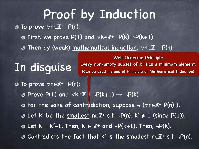To prove ∀n∈Z**<sup>+</sup>** P(n): First, we prove P(1) and ∀k∈Z**<sup>+</sup>** P(k)→P(k+1) Then by (weak) mathematical induction, ∀n∈Z**<sup>+</sup>** P(n)

## In disguise

Well Ordering Principle Every non-empty subset of Z**<sup>+</sup>** has a minimum element. (Can be used instead of Principle of Mathematical Induction)

To prove ∀n∈Z**<sup>+</sup>** P(n): Prove P(1) and ∀k∈Z**<sup>+</sup>** ¬P(k+1) → ¬P(k) For the sake of contradiction, suppose ¬ (∀n∈Z**<sup>+</sup>** P(n) ). Let k' be the smallest n∈Z**<sup>+</sup>** s.t. ¬P(n). k' ≠ 1 (since P(1)). Let k = k'-1. Then, k ∈ Z**<sup>+</sup>** and ¬P(k+1). Then, ¬P(k). Contradicts the fact that k' is the smallest n∈Z**<sup>+</sup>** s.t. ¬P(n).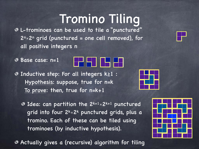### Tromino Tiling

L-trominoes can be used to tile a "punctured"  $2^{n} \times 2^{n}$  grid (punctured = one cell removed), for all positive integers n

Base case: n=1



Inductive step: For all integers k≥1 : Hypothesis: suppose, true for n=k To prove: then, true for n=k+1

 $\bullet$  Idea: can partition the 2k+1 $\times$ 2k+1 punctured grid into four  $2^k \times 2^k$  punctured grids, plus a tromino. Each of these can be tiled using trominoes (by inductive hypothesis).

Actually gives a (recursive) algorithm for tiling



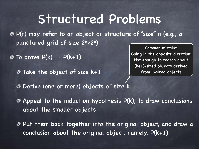#### Structured Problems

P(n) may refer to an object or structure of "size" n (e.g., a punctured grid of size 2n×2n)

- $\odot$  To prove  $P(k) \rightarrow P(k+1)$ 
	- Take the object of size k+1

Common mistake: Going in the opposite direction! Not enough to reason about (k+1)-sized objects derived from k-sized objects

- Derive (one or more) objects of size k
- $\odot$  Appeal to the induction hypothesis P(k), to draw conclusions about the smaller objects
- Put them back together into the original object, and draw a conclusion about the original object, namely,  $P(k+1)$